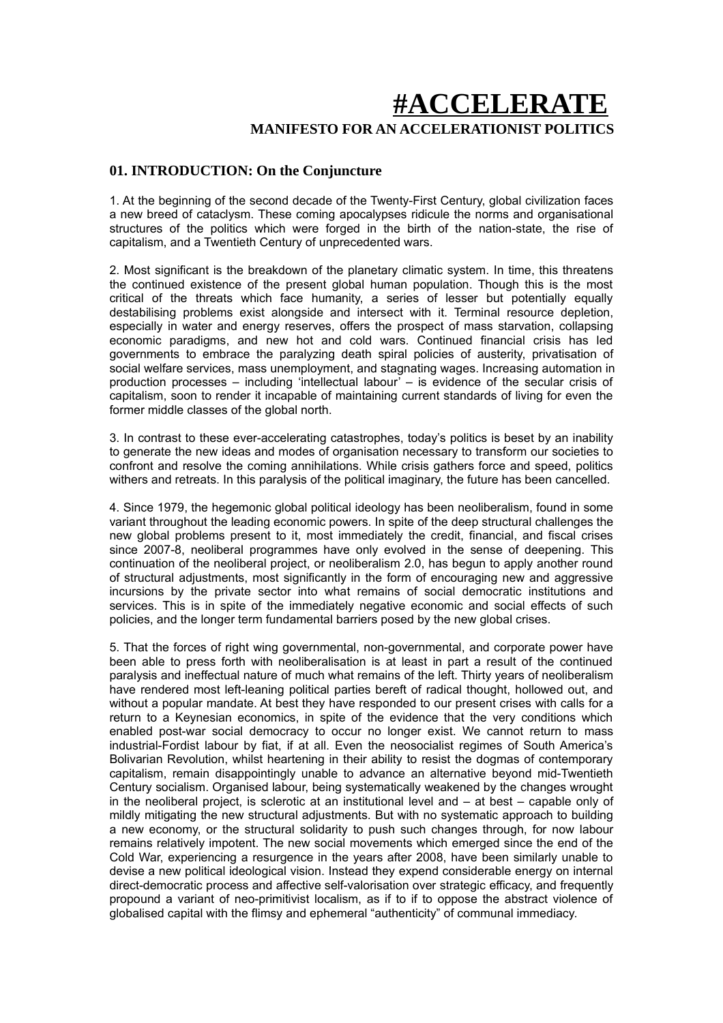## **#ACCELERATE MANIFESTO FOR AN ACCELERATIONIST POLITICS**

## **01. INTRODUCTION: On the Conjuncture**

1. At the beginning of the second decade of the Twenty-First Century, global civilization faces a new breed of cataclysm. These coming apocalypses ridicule the norms and organisational structures of the politics which were forged in the birth of the nation-state, the rise of capitalism, and a Twentieth Century of unprecedented wars.

2. Most significant is the breakdown of the planetary climatic system. In time, this threatens the continued existence of the present global human population. Though this is the most critical of the threats which face humanity, a series of lesser but potentially equally destabilising problems exist alongside and intersect with it. Terminal resource depletion, especially in water and energy reserves, offers the prospect of mass starvation, collapsing economic paradigms, and new hot and cold wars. Continued financial crisis has led governments to embrace the paralyzing death spiral policies of austerity, privatisation of social welfare services, mass unemployment, and stagnating wages. Increasing automation in production processes – including 'intellectual labour' – is evidence of the secular crisis of capitalism, soon to render it incapable of maintaining current standards of living for even the former middle classes of the global north.

3. In contrast to these ever-accelerating catastrophes, today's politics is beset by an inability to generate the new ideas and modes of organisation necessary to transform our societies to confront and resolve the coming annihilations. While crisis gathers force and speed, politics withers and retreats. In this paralysis of the political imaginary, the future has been cancelled.

4. Since 1979, the hegemonic global political ideology has been neoliberalism, found in some variant throughout the leading economic powers. In spite of the deep structural challenges the new global problems present to it, most immediately the credit, financial, and fiscal crises since 2007-8, neoliberal programmes have only evolved in the sense of deepening. This continuation of the neoliberal project, or neoliberalism 2.0, has begun to apply another round of structural adjustments, most significantly in the form of encouraging new and aggressive incursions by the private sector into what remains of social democratic institutions and services. This is in spite of the immediately negative economic and social effects of such policies, and the longer term fundamental barriers posed by the new global crises.

5. That the forces of right wing governmental, non-governmental, and corporate power have been able to press forth with neoliberalisation is at least in part a result of the continued paralysis and ineffectual nature of much what remains of the left. Thirty years of neoliberalism have rendered most left-leaning political parties bereft of radical thought, hollowed out, and without a popular mandate. At best they have responded to our present crises with calls for a return to a Keynesian economics, in spite of the evidence that the very conditions which enabled post-war social democracy to occur no longer exist. We cannot return to mass industrial-Fordist labour by fiat, if at all. Even the neosocialist regimes of South America's Bolivarian Revolution, whilst heartening in their ability to resist the dogmas of contemporary capitalism, remain disappointingly unable to advance an alternative beyond mid-Twentieth Century socialism. Organised labour, being systematically weakened by the changes wrought in the neoliberal project, is sclerotic at an institutional level and – at best – capable only of mildly mitigating the new structural adjustments. But with no systematic approach to building a new economy, or the structural solidarity to push such changes through, for now labour remains relatively impotent. The new social movements which emerged since the end of the Cold War, experiencing a resurgence in the years after 2008, have been similarly unable to devise a new political ideological vision. Instead they expend considerable energy on internal direct-democratic process and affective self-valorisation over strategic efficacy, and frequently propound a variant of neo-primitivist localism, as if to if to oppose the abstract violence of globalised capital with the flimsy and ephemeral "authenticity" of communal immediacy.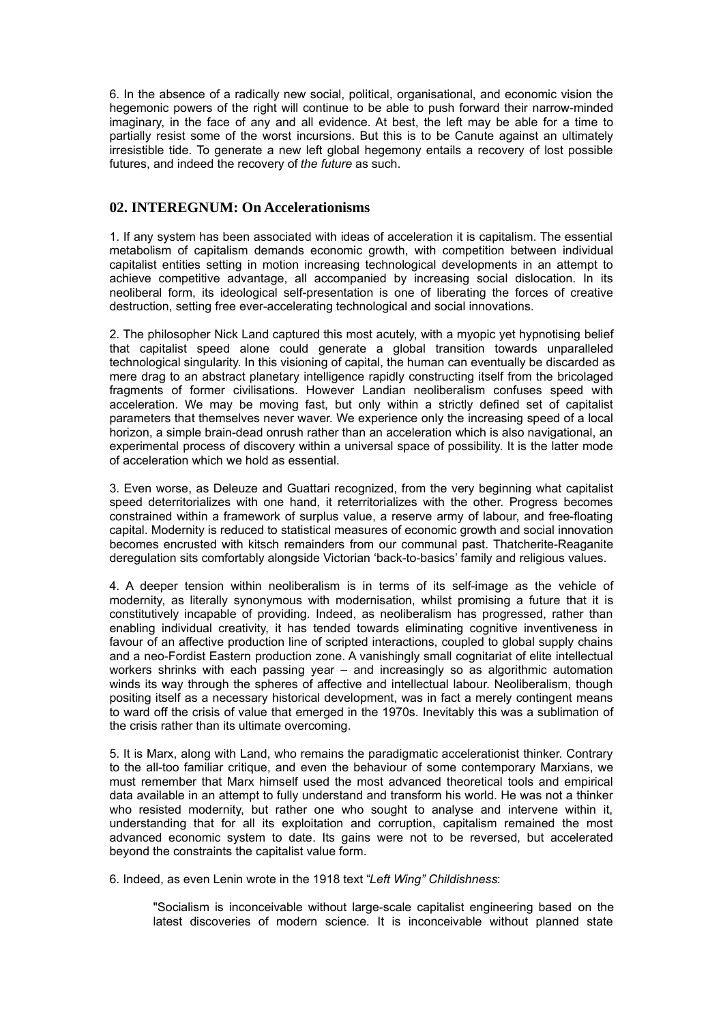6. In the absence of a radically new social, political, organisational, and economic vision the hegemonic powers of the right will continue to be able to push forward their narrow-minded imaginary, in the face of any and all evidence. At best, the left may be able for a time to partially resist some of the worst incursions. But this is to be Canute against an ultimately irresistible tide. To generate a new left global hegemony entails a recovery of lost possible futures, and indeed the recovery of *the future* as such.

## **02. INTEREGNUM: On Accelerationisms**

1. If any system has been associated with ideas of acceleration it is capitalism. The essential metabolism of capitalism demands economic growth, with competition between individual capitalist entities setting in motion increasing technological developments in an attempt to achieve competitive advantage, all accompanied by increasing social dislocation. In its neoliberal form, its ideological self-presentation is one of liberating the forces of creative destruction, setting free ever-accelerating technological and social innovations.

2. The philosopher Nick Land captured this most acutely, with a myopic yet hypnotising belief that capitalist speed alone could generate a global transition towards unparalleled technological singularity. In this visioning of capital, the human can eventually be discarded as mere drag to an abstract planetary intelligence rapidly constructing itself from the bricolaged fragments of former civilisations. However Landian neoliberalism confuses speed with acceleration. We may be moving fast, but only within a strictly defined set of capitalist parameters that themselves never waver. We experience only the increasing speed of a local horizon, a simple brain-dead onrush rather than an acceleration which is also navigational, an experimental process of discovery within a universal space of possibility. It is the latter mode of acceleration which we hold as essential.

3. Even worse, as Deleuze and Guattari recognized, from the very beginning what capitalist speed deterritorializes with one hand, it reterritorializes with the other. Progress becomes constrained within a framework of surplus value, a reserve army of labour, and free-floating capital. Modernity is reduced to statistical measures of economic growth and social innovation becomes encrusted with kitsch remainders from our communal past. Thatcherite-Reaganite deregulation sits comfortably alongside Victorian 'back-to-basics' family and religious values.

4. A deeper tension within neoliberalism is in terms of its self-image as the vehicle of modernity, as literally synonymous with modernisation, whilst promising a future that it is constitutively incapable of providing. Indeed, as neoliberalism has progressed, rather than enabling individual creativity, it has tended towards eliminating cognitive inventiveness in favour of an affective production line of scripted interactions, coupled to global supply chains and a neo-Fordist Eastern production zone. A vanishingly small cognitariat of elite intellectual workers shrinks with each passing year – and increasingly so as algorithmic automation winds its way through the spheres of affective and intellectual labour. Neoliberalism, though positing itself as a necessary historical development, was in fact a merely contingent means to ward off the crisis of value that emerged in the 1970s. Inevitably this was a sublimation of the crisis rather than its ultimate overcoming.

5. It is Marx, along with Land, who remains the paradigmatic accelerationist thinker. Contrary to the all-too familiar critique, and even the behaviour of some contemporary Marxians, we must remember that Marx himself used the most advanced theoretical tools and empirical data available in an attempt to fully understand and transform his world. He was not a thinker who resisted modernity, but rather one who sought to analyse and intervene within it, understanding that for all its exploitation and corruption, capitalism remained the most advanced economic system to date. Its gains were not to be reversed, but accelerated beyond the constraints the capitalist value form.

6. Indeed, as even Lenin wrote in the 1918 text "*Left Wing" Childishness*:

"Socialism is inconceivable without large-scale capitalist engineering based on the latest discoveries of modern science. It is inconceivable without planned state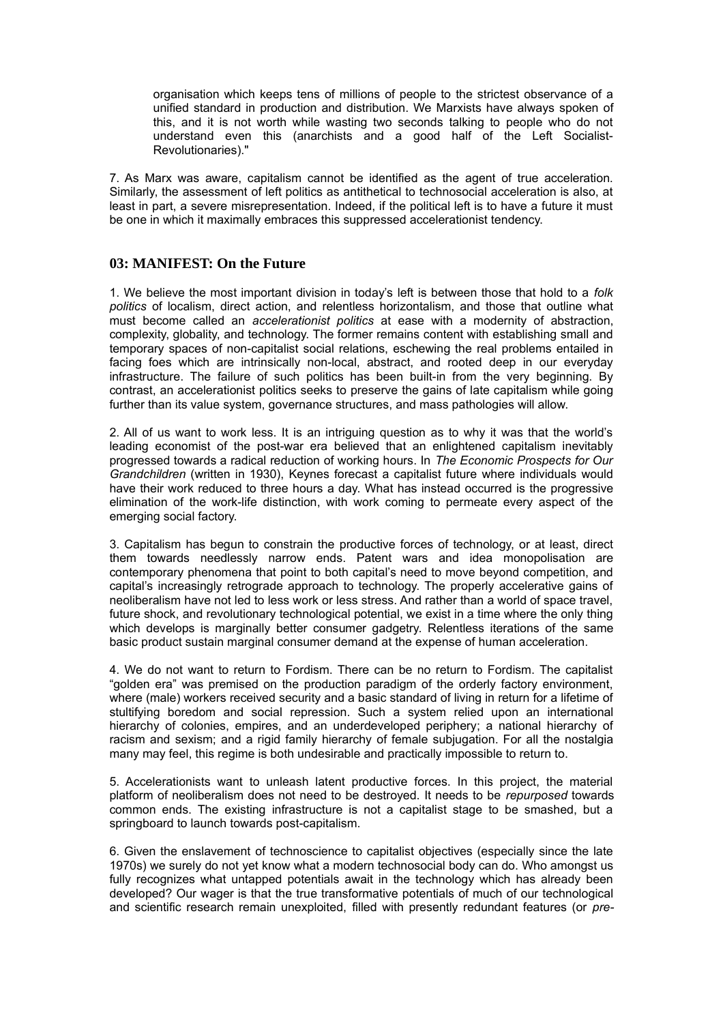organisation which keeps tens of millions of people to the strictest observance of a unified standard in production and distribution. We Marxists have always spoken of this, and it is not worth while wasting two seconds talking to people who do not understand even this (anarchists and a good half of the Left Socialist-Revolutionaries)."

7. As Marx was aware, capitalism cannot be identified as the agent of true acceleration. Similarly, the assessment of left politics as antithetical to technosocial acceleration is also, at least in part, a severe misrepresentation. Indeed, if the political left is to have a future it must be one in which it maximally embraces this suppressed accelerationist tendency.

## **03: MANIFEST: On the Future**

1. We believe the most important division in today's left is between those that hold to a *folk politics* of localism, direct action, and relentless horizontalism, and those that outline what must become called an *accelerationist politics* at ease with a modernity of abstraction, complexity, globality, and technology. The former remains content with establishing small and temporary spaces of non-capitalist social relations, eschewing the real problems entailed in facing foes which are intrinsically non-local, abstract, and rooted deep in our everyday infrastructure. The failure of such politics has been built-in from the very beginning. By contrast, an accelerationist politics seeks to preserve the gains of late capitalism while going further than its value system, governance structures, and mass pathologies will allow.

2. All of us want to work less. It is an intriguing question as to why it was that the world's leading economist of the post-war era believed that an enlightened capitalism inevitably progressed towards a radical reduction of working hours. In *The Economic Prospects for Our Grandchildren* (written in 1930), Keynes forecast a capitalist future where individuals would have their work reduced to three hours a day. What has instead occurred is the progressive elimination of the work-life distinction, with work coming to permeate every aspect of the emerging social factory.

3. Capitalism has begun to constrain the productive forces of technology, or at least, direct them towards needlessly narrow ends. Patent wars and idea monopolisation are contemporary phenomena that point to both capital's need to move beyond competition, and capital's increasingly retrograde approach to technology. The properly accelerative gains of neoliberalism have not led to less work or less stress. And rather than a world of space travel, future shock, and revolutionary technological potential, we exist in a time where the only thing which develops is marginally better consumer gadgetry. Relentless iterations of the same basic product sustain marginal consumer demand at the expense of human acceleration.

4. We do not want to return to Fordism. There can be no return to Fordism. The capitalist "golden era" was premised on the production paradigm of the orderly factory environment, where (male) workers received security and a basic standard of living in return for a lifetime of stultifying boredom and social repression. Such a system relied upon an international hierarchy of colonies, empires, and an underdeveloped periphery; a national hierarchy of racism and sexism; and a rigid family hierarchy of female subjugation. For all the nostalgia many may feel, this regime is both undesirable and practically impossible to return to.

5. Accelerationists want to unleash latent productive forces. In this project, the material platform of neoliberalism does not need to be destroyed. It needs to be *repurposed* towards common ends. The existing infrastructure is not a capitalist stage to be smashed, but a springboard to launch towards post-capitalism.

6. Given the enslavement of technoscience to capitalist objectives (especially since the late 1970s) we surely do not yet know what a modern technosocial body can do. Who amongst us fully recognizes what untapped potentials await in the technology which has already been developed? Our wager is that the true transformative potentials of much of our technological and scientific research remain unexploited, filled with presently redundant features (or *pre-*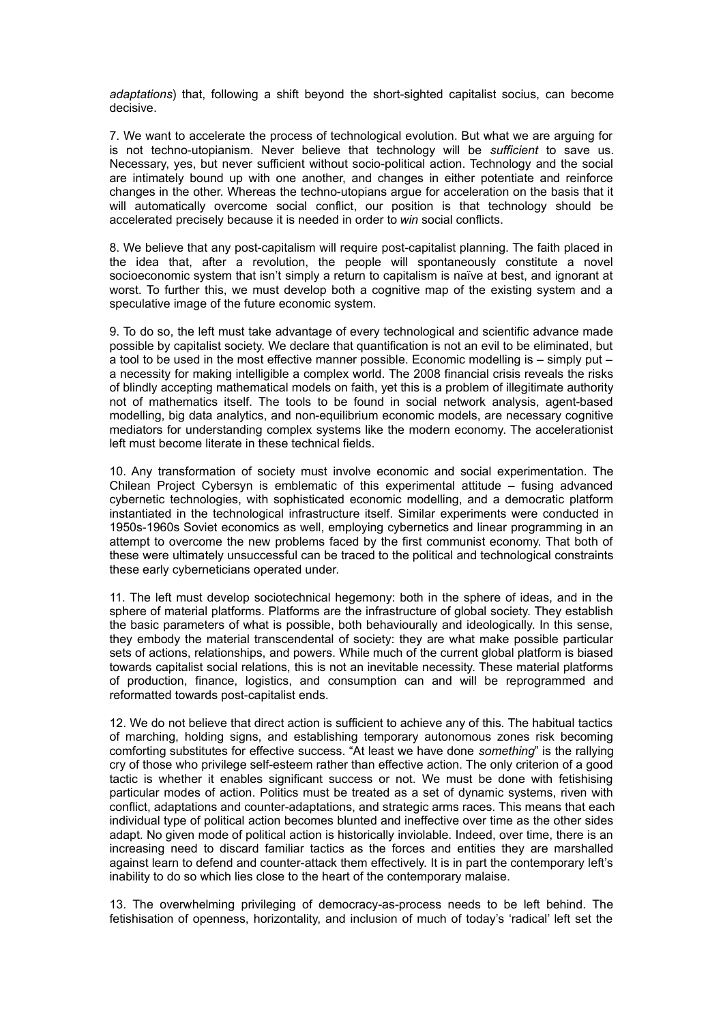*adaptations*) that, following a shift beyond the short-sighted capitalist socius, can become decisive.

7. We want to accelerate the process of technological evolution. But what we are arguing for is not techno-utopianism. Never believe that technology will be *sufficient* to save us. Necessary, yes, but never sufficient without socio-political action. Technology and the social are intimately bound up with one another, and changes in either potentiate and reinforce changes in the other. Whereas the techno-utopians argue for acceleration on the basis that it will automatically overcome social conflict, our position is that technology should be accelerated precisely because it is needed in order to *win* social conflicts.

8. We believe that any post-capitalism will require post-capitalist planning. The faith placed in the idea that, after a revolution, the people will spontaneously constitute a novel socioeconomic system that isn't simply a return to capitalism is naïve at best, and ignorant at worst. To further this, we must develop both a cognitive map of the existing system and a speculative image of the future economic system.

9. To do so, the left must take advantage of every technological and scientific advance made possible by capitalist society. We declare that quantification is not an evil to be eliminated, but a tool to be used in the most effective manner possible. Economic modelling is – simply put – a necessity for making intelligible a complex world. The 2008 financial crisis reveals the risks of blindly accepting mathematical models on faith, yet this is a problem of illegitimate authority not of mathematics itself. The tools to be found in social network analysis, agent-based modelling, big data analytics, and non-equilibrium economic models, are necessary cognitive mediators for understanding complex systems like the modern economy. The accelerationist left must become literate in these technical fields.

10. Any transformation of society must involve economic and social experimentation. The Chilean Project Cybersyn is emblematic of this experimental attitude – fusing advanced cybernetic technologies, with sophisticated economic modelling, and a democratic platform instantiated in the technological infrastructure itself. Similar experiments were conducted in 1950s-1960s Soviet economics as well, employing cybernetics and linear programming in an attempt to overcome the new problems faced by the first communist economy. That both of these were ultimately unsuccessful can be traced to the political and technological constraints these early cyberneticians operated under.

11. The left must develop sociotechnical hegemony: both in the sphere of ideas, and in the sphere of material platforms. Platforms are the infrastructure of global society. They establish the basic parameters of what is possible, both behaviourally and ideologically. In this sense, they embody the material transcendental of society: they are what make possible particular sets of actions, relationships, and powers. While much of the current global platform is biased towards capitalist social relations, this is not an inevitable necessity. These material platforms of production, finance, logistics, and consumption can and will be reprogrammed and reformatted towards post-capitalist ends.

12. We do not believe that direct action is sufficient to achieve any of this. The habitual tactics of marching, holding signs, and establishing temporary autonomous zones risk becoming comforting substitutes for effective success. "At least we have done *something*" is the rallying cry of those who privilege self-esteem rather than effective action. The only criterion of a good tactic is whether it enables significant success or not. We must be done with fetishising particular modes of action. Politics must be treated as a set of dynamic systems, riven with conflict, adaptations and counter-adaptations, and strategic arms races. This means that each individual type of political action becomes blunted and ineffective over time as the other sides adapt. No given mode of political action is historically inviolable. Indeed, over time, there is an increasing need to discard familiar tactics as the forces and entities they are marshalled against learn to defend and counter-attack them effectively. It is in part the contemporary left's inability to do so which lies close to the heart of the contemporary malaise.

13. The overwhelming privileging of democracy-as-process needs to be left behind. The fetishisation of openness, horizontality, and inclusion of much of today's 'radical' left set the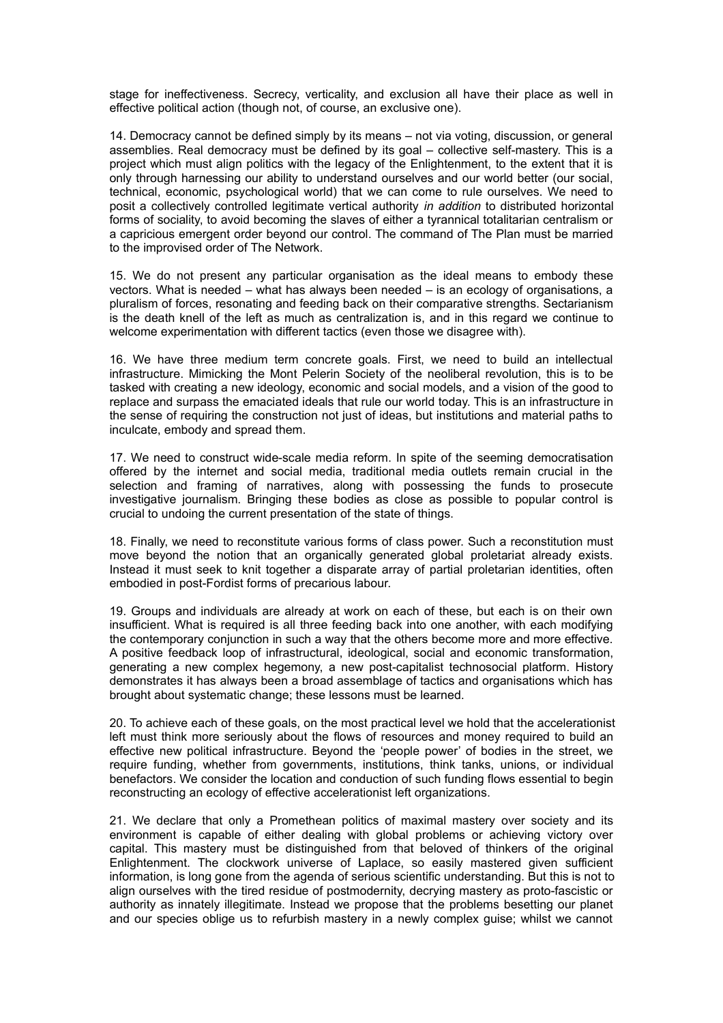stage for ineffectiveness. Secrecy, verticality, and exclusion all have their place as well in effective political action (though not, of course, an exclusive one).

14. Democracy cannot be defined simply by its means – not via voting, discussion, or general assemblies. Real democracy must be defined by its goal – collective self-mastery. This is a project which must align politics with the legacy of the Enlightenment, to the extent that it is only through harnessing our ability to understand ourselves and our world better (our social, technical, economic, psychological world) that we can come to rule ourselves. We need to posit a collectively controlled legitimate vertical authority *in addition* to distributed horizontal forms of sociality, to avoid becoming the slaves of either a tyrannical totalitarian centralism or a capricious emergent order beyond our control. The command of The Plan must be married to the improvised order of The Network.

15. We do not present any particular organisation as the ideal means to embody these vectors. What is needed – what has always been needed – is an ecology of organisations, a pluralism of forces, resonating and feeding back on their comparative strengths. Sectarianism is the death knell of the left as much as centralization is, and in this regard we continue to welcome experimentation with different tactics (even those we disagree with).

16. We have three medium term concrete goals. First, we need to build an intellectual infrastructure. Mimicking the Mont Pelerin Society of the neoliberal revolution, this is to be tasked with creating a new ideology, economic and social models, and a vision of the good to replace and surpass the emaciated ideals that rule our world today. This is an infrastructure in the sense of requiring the construction not just of ideas, but institutions and material paths to inculcate, embody and spread them.

17. We need to construct wide-scale media reform. In spite of the seeming democratisation offered by the internet and social media, traditional media outlets remain crucial in the selection and framing of narratives, along with possessing the funds to prosecute investigative journalism. Bringing these bodies as close as possible to popular control is crucial to undoing the current presentation of the state of things.

18. Finally, we need to reconstitute various forms of class power. Such a reconstitution must move beyond the notion that an organically generated global proletariat already exists. Instead it must seek to knit together a disparate array of partial proletarian identities, often embodied in post-Fordist forms of precarious labour.

19. Groups and individuals are already at work on each of these, but each is on their own insufficient. What is required is all three feeding back into one another, with each modifying the contemporary conjunction in such a way that the others become more and more effective. A positive feedback loop of infrastructural, ideological, social and economic transformation, generating a new complex hegemony, a new post-capitalist technosocial platform. History demonstrates it has always been a broad assemblage of tactics and organisations which has brought about systematic change; these lessons must be learned.

20. To achieve each of these goals, on the most practical level we hold that the accelerationist left must think more seriously about the flows of resources and money required to build an effective new political infrastructure. Beyond the 'people power' of bodies in the street, we require funding, whether from governments, institutions, think tanks, unions, or individual benefactors. We consider the location and conduction of such funding flows essential to begin reconstructing an ecology of effective accelerationist left organizations.

21. We declare that only a Promethean politics of maximal mastery over society and its environment is capable of either dealing with global problems or achieving victory over capital. This mastery must be distinguished from that beloved of thinkers of the original Enlightenment. The clockwork universe of Laplace, so easily mastered given sufficient information, is long gone from the agenda of serious scientific understanding. But this is not to align ourselves with the tired residue of postmodernity, decrying mastery as proto-fascistic or authority as innately illegitimate. Instead we propose that the problems besetting our planet and our species oblige us to refurbish mastery in a newly complex guise; whilst we cannot